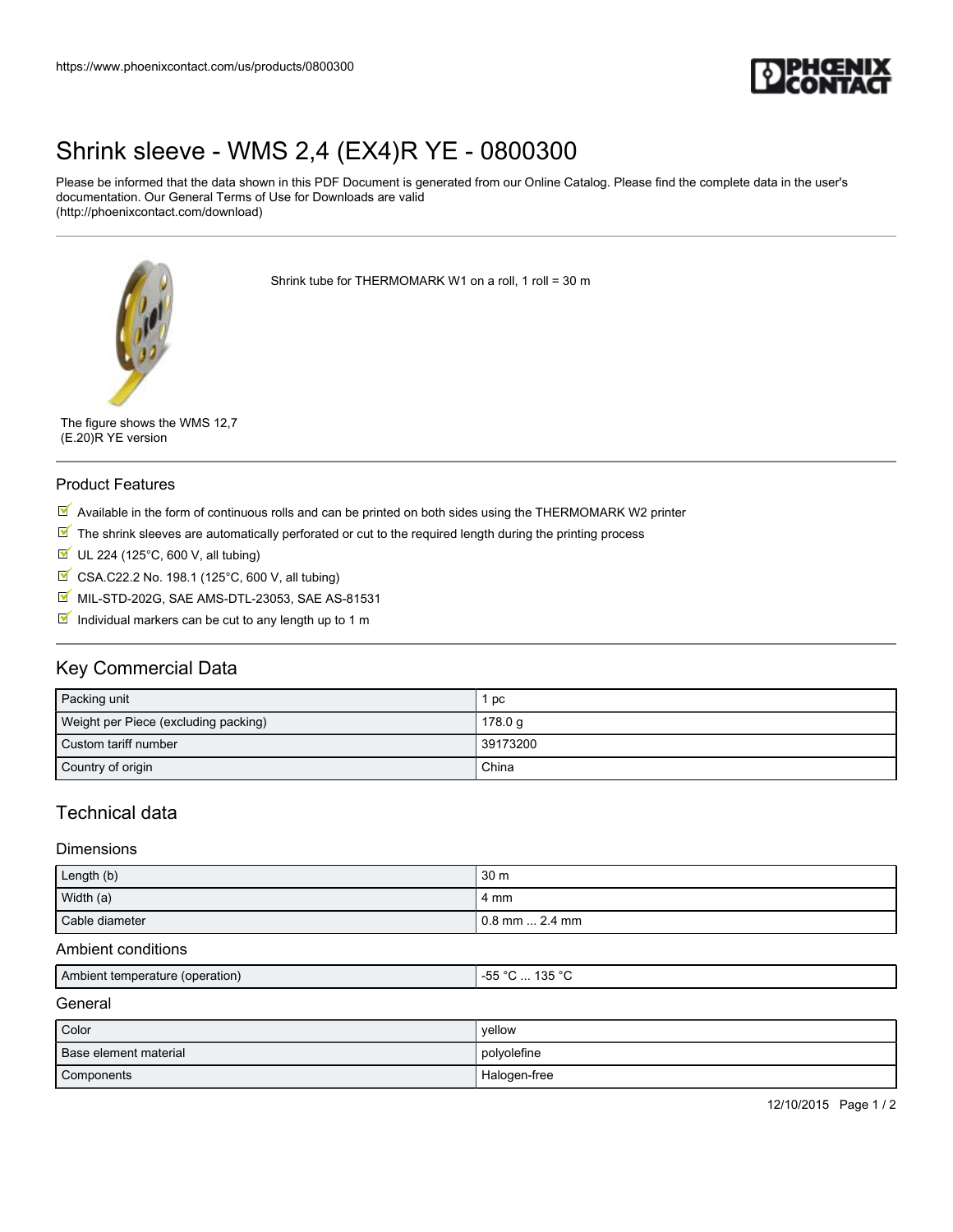

# [Shrink sleeve - WMS 2,4 \(EX4\)R YE - 0800300](https://www.phoenixcontact.com/us/products/0800300)

Please be informed that the data shown in this PDF Document is generated from our Online Catalog. Please find the complete data in the user's documentation. Our General Terms of Use for Downloads are valid (http://phoenixcontact.com/download)

Shrink tube for THERMOMARK W1 on a roll, 1 roll = 30 m

The figure shows the WMS 12,7 (E.20)R YE version

#### Product Features

- $\overline{\mathbb{M}}$  Available in the form of continuous rolls and can be printed on both sides using the THERMOMARK W2 printer
- $\mathbb N$  The shrink sleeves are automatically perforated or cut to the required length during the printing process
- $U$  UL 224 (125°C, 600 V, all tubing)
- CSA.C22.2 No. 198.1 (125°C, 600 V, all tubing)
- MIL-STD-202G, SAE AMS-DTL-23053, SAE AS-81531
- Individual markers can be cut to any length up to 1 m

# Key Commercial Data

| Packing unit                         | pc       |
|--------------------------------------|----------|
| Weight per Piece (excluding packing) | 178.0 g  |
| Custom tariff number                 | 39173200 |
| Country of origin                    | China    |

## Technical data

#### Dimensions

| Length (b)     | 30 <sub>m</sub>  |
|----------------|------------------|
| Width (a)      | 4 mm             |
| Cable diameter | l 0.8 mm  2.4 mm |

#### Ambient conditions

| Aml<br>pperation<br>ות nient<br>ter<br>1.1.1.7 | $-$<br>$ -$<br>$\sim$<br>$\sim$<br>בי<br><b></b><br>−ບບ<br>.<br>.<br>$\sim$ |
|------------------------------------------------|-----------------------------------------------------------------------------|
|                                                |                                                                             |

#### General

| Color                 | vellow       |
|-----------------------|--------------|
| Base element material | polyolefine  |
| Components            | Halogen-free |